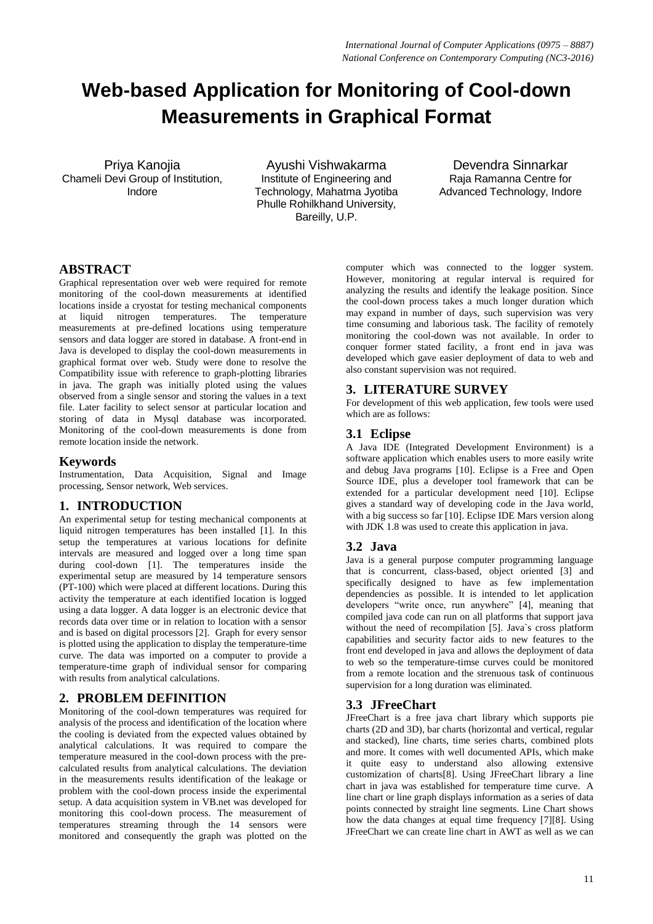# **Web-based Application for Monitoring of Cool-down Measurements in Graphical Format**

Priya Kanojia Chameli Devi Group of Institution, Indore

Ayushi Vishwakarma Institute of Engineering and Technology, Mahatma Jyotiba Phulle Rohilkhand University, Bareilly, U.P.

Devendra Sinnarkar Raja Ramanna Centre for Advanced Technology, Indore

# **ABSTRACT**

Graphical representation over web were required for remote monitoring of the cool-down measurements at identified locations inside a cryostat for testing mechanical components at liquid nitrogen temperatures. The temperature measurements at pre-defined locations using temperature sensors and data logger are stored in database. A front-end in Java is developed to display the cool-down measurements in graphical format over web. Study were done to resolve the Compatibility issue with reference to graph-plotting libraries in java. The graph was initially ploted using the values observed from a single sensor and storing the values in a text file. Later facility to select sensor at particular location and storing of data in Mysql database was incorporated. Monitoring of the cool-down measurements is done from remote location inside the network.

#### **Keywords**

Instrumentation, Data Acquisition, Signal and Image processing, Sensor network, Web services.

#### **1. INTRODUCTION**

An experimental setup for testing mechanical components at liquid nitrogen temperatures has been installed [1]. In this setup the temperatures at various locations for definite intervals are measured and logged over a long time span during cool-down [1]. The temperatures inside the experimental setup are measured by 14 temperature sensors (PT-100) which were placed at different locations. During this activity the temperature at each identified location is logged using a data logger. A data logger is an electronic device that records data over time or in relation to location with a sensor and is based on digital processors [2]. Graph for every sensor is plotted using the application to display the temperature-time curve. The data was imported on a computer to provide a temperature-time graph of individual sensor for comparing with results from analytical calculations.

## **2. PROBLEM DEFINITION**

Monitoring of the cool-down temperatures was required for analysis of the process and identification of the location where the cooling is deviated from the expected values obtained by analytical calculations. It was required to compare the temperature measured in the cool-down process with the precalculated results from analytical calculations. The deviation in the measurements results identification of the leakage or problem with the cool-down process inside the experimental setup. A data acquisition system in VB.net was developed for monitoring this cool-down process. The measurement of temperatures streaming through the 14 sensors were monitored and consequently the graph was plotted on the

computer which was connected to the logger system. However, monitoring at regular interval is required for analyzing the results and identify the leakage position. Since the cool-down process takes a much longer duration which may expand in number of days, such supervision was very time consuming and laborious task. The facility of remotely monitoring the cool-down was not available. In order to conquer former stated facility, a front end in java was developed which gave easier deployment of data to web and also constant supervision was not required.

#### **3. LITERATURE SURVEY**

For development of this web application, few tools were used which are as follows:

# **3.1 Eclipse**

A Java IDE (Integrated Development Environment) is a software application which enables users to more easily write and debug Java programs [10]. Eclipse is a Free and Open Source IDE, plus a developer tool framework that can be extended for a particular development need [10]. Eclipse gives a standard way of developing code in the Java world, with a big success so far [10]. Eclipse IDE Mars version along with JDK 1.8 was used to create this application in java.

## **3.2 Java**

Java is a general purpose computer programming language that is concurrent, class-based, object oriented [3] and specifically designed to have as few implementation dependencies as possible. It is intended to let application developers "write once, run anywhere" [4], meaning that compiled java code can run on all platforms that support java without the need of recompilation [5]. Java`s cross platform capabilities and security factor aids to new features to the front end developed in java and allows the deployment of data to web so the temperature-timse curves could be monitored from a remote location and the strenuous task of continuous supervision for a long duration was eliminated.

## **3.3 JFreeChart**

JFreeChart is a free java chart library which supports pie charts (2D and 3D), bar charts (horizontal and vertical, regular and stacked), line charts, time series charts, combined plots and more. It comes with well documented APIs, which make it quite easy to understand also allowing extensive customization of charts[8]. Using JFreeChart library a line chart in java was established for temperature time curve. A line chart or line graph displays information as a series of data points connected by straight line segments. Line Chart shows how the data changes at equal time frequency [7][8]. Using JFreeChart we can create line chart in AWT as well as we can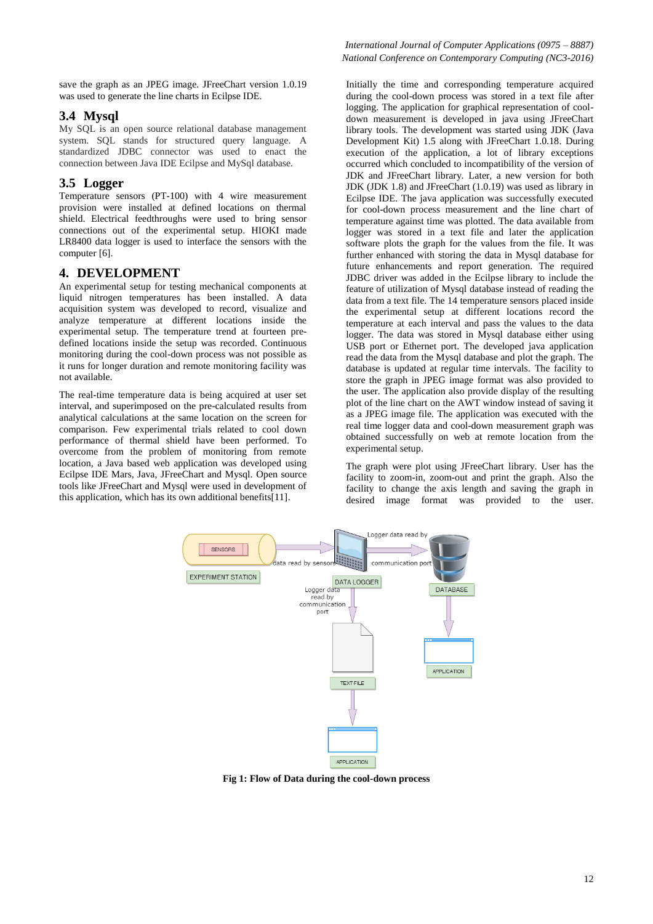save the graph as an JPEG image. JFreeChart version 1.0.19 was used to generate the line charts in Ecilpse IDE.

#### **3.4 Mysql**

My SQL is an open source relational database management system. SQL stands for structured query language. A standardized JDBC connector was used to enact the connection between Java IDE Ecilpse and MySql database.

## **3.5 Logger**

Temperature sensors (PT-100) with 4 wire measurement provision were installed at defined locations on thermal shield. Electrical feedthroughs were used to bring sensor connections out of the experimental setup. HIOKI made LR8400 data logger is used to interface the sensors with the computer [6].

#### **4. DEVELOPMENT**

An experimental setup for testing mechanical components at liquid nitrogen temperatures has been installed. A data acquisition system was developed to record, visualize and analyze temperature at different locations inside the experimental setup. The temperature trend at fourteen predefined locations inside the setup was recorded. Continuous monitoring during the cool-down process was not possible as it runs for longer duration and remote monitoring facility was not available.

The real-time temperature data is being acquired at user set interval, and superimposed on the pre-calculated results from analytical calculations at the same location on the screen for comparison. Few experimental trials related to cool down performance of thermal shield have been performed. To overcome from the problem of monitoring from remote location, a Java based web application was developed using Ecilpse IDE Mars, Java, JFreeChart and Mysql. Open source tools like JFreeChart and Mysql were used in development of this application, which has its own additional benefits[11].

Initially the time and corresponding temperature acquired during the cool-down process was stored in a text file after logging. The application for graphical representation of cooldown measurement is developed in java using JFreeChart library tools. The development was started using JDK (Java Development Kit) 1.5 along with JFreeChart 1.0.18. During execution of the application, a lot of library exceptions occurred which concluded to incompatibility of the version of JDK and JFreeChart library. Later, a new version for both JDK (JDK 1.8) and JFreeChart (1.0.19) was used as library in Ecilpse IDE. The java application was successfully executed for cool-down process measurement and the line chart of temperature against time was plotted. The data available from logger was stored in a text file and later the application software plots the graph for the values from the file. It was further enhanced with storing the data in Mysql database for future enhancements and report generation. The required JDBC driver was added in the Ecilpse library to include the feature of utilization of Mysql database instead of reading the data from a text file. The 14 temperature sensors placed inside the experimental setup at different locations record the temperature at each interval and pass the values to the data logger. The data was stored in Mysql database either using USB port or Ethernet port. The developed java application read the data from the Mysql database and plot the graph. The database is updated at regular time intervals. The facility to store the graph in JPEG image format was also provided to the user. The application also provide display of the resulting plot of the line chart on the AWT window instead of saving it as a JPEG image file. The application was executed with the real time logger data and cool-down measurement graph was obtained successfully on web at remote location from the experimental setup.

The graph were plot using JFreeChart library. User has the facility to zoom-in, zoom-out and print the graph. Also the facility to change the axis length and saving the graph in desired image format was provided to the user.



**Fig 1: Flow of Data during the cool-down process**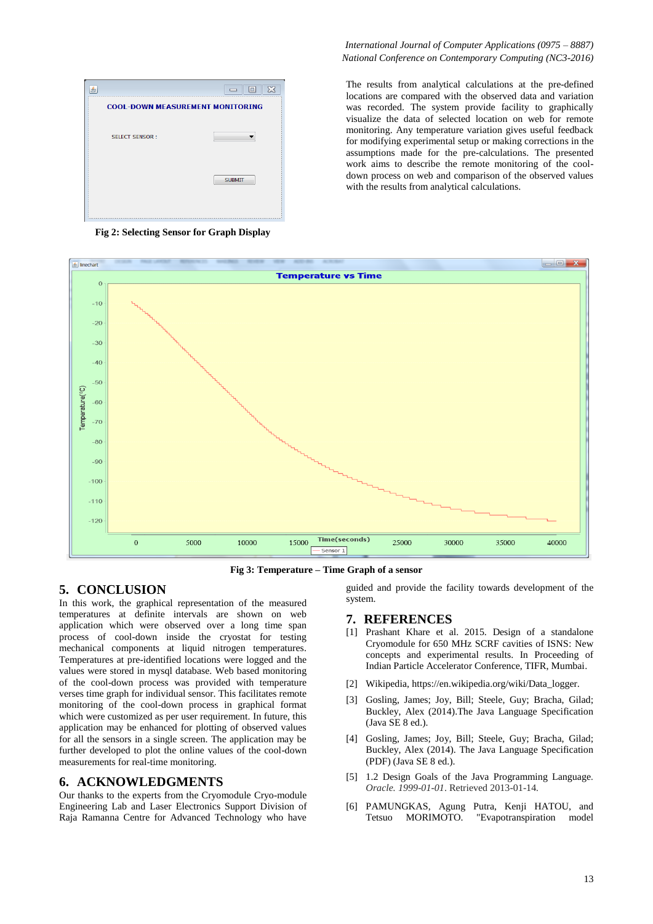

**Fig 2: Selecting Sensor for Graph Display**

#### *International Journal of Computer Applications (0975 – 8887) National Conference on Contemporary Computing (NC3-2016)*

The results from analytical calculations at the pre-defined locations are compared with the observed data and variation was recorded. The system provide facility to graphically visualize the data of selected location on web for remote monitoring. Any temperature variation gives useful feedback for modifying experimental setup or making corrections in the assumptions made for the pre-calculations. The presented work aims to describe the remote monitoring of the cooldown process on web and comparison of the observed values with the results from analytical calculations.



**Fig 3: Temperature – Time Graph of a sensor**

# **5. CONCLUSION**

In this work, the graphical representation of the measured temperatures at definite intervals are shown on web application which were observed over a long time span process of cool-down inside the cryostat for testing mechanical components at liquid nitrogen temperatures. Temperatures at pre-identified locations were logged and the values were stored in mysql database. Web based monitoring of the cool-down process was provided with temperature verses time graph for individual sensor. This facilitates remote monitoring of the cool-down process in graphical format which were customized as per user requirement. In future, this application may be enhanced for plotting of observed values for all the sensors in a single screen. The application may be further developed to plot the online values of the cool-down measurements for real-time monitoring.

## **6. ACKNOWLEDGMENTS**

Our thanks to the experts from the Cryomodule Cryo-module Engineering Lab and Laser Electronics Support Division of Raja Ramanna Centre for Advanced Technology who have

guided and provide the facility towards development of the system.

#### **7. REFERENCES**

- [1] Prashant Khare et al. 2015. Design of a standalone Cryomodule for 650 MHz SCRF cavities of ISNS: New concepts and experimental results. In Proceeding of Indian Particle Accelerator Conference, TIFR, Mumbai.
- [2] Wikipedia, https://en.wikipedia.org/wiki/Data\_logger.
- [3] Gosling, James; Joy, Bill; Steele, Guy; Bracha, Gilad; Buckley, Alex (2014).The Java Language Specification (Java SE 8 ed.).
- [4] Gosling, James; Joy, Bill; Steele, Guy; Bracha, Gilad; Buckley, Alex (2014). The Java Language Specification (PDF) (Java SE 8 ed.).
- [5] 1.2 Design Goals of the Java Programming Language*. Oracle. 1999-01-01*. Retrieved 2013-01-14*.*
- [6] PAMUNGKAS, Agung Putra, Kenji HATOU, and Tetsuo MORIMOTO. "Evapotranspiration model